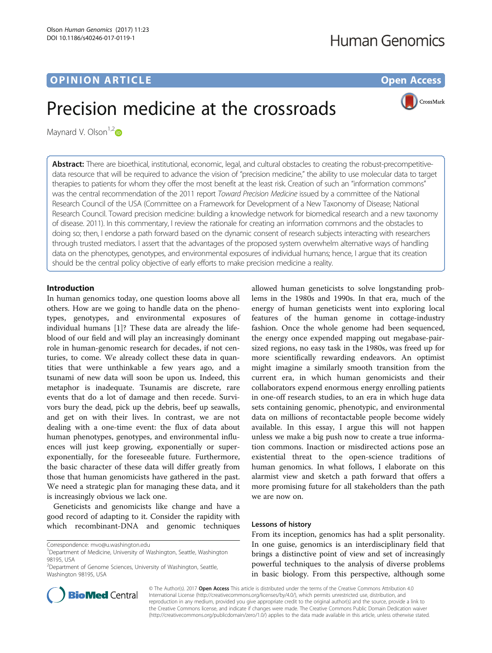# **OPINION ARTICLE CONSUMING ARTICLE**

# Human Genomics

# Precision medicine at the crossroads



Maynard V. Olson<sup>1,[2](http://orcid.org/0000-0003-3527-9497)</sup>

Abstract: There are bioethical, institutional, economic, legal, and cultural obstacles to creating the robust-precompetitivedata resource that will be required to advance the vision of "precision medicine," the ability to use molecular data to target therapies to patients for whom they offer the most benefit at the least risk. Creation of such an "information commons" was the central recommendation of the 2011 report Toward Precision Medicine issued by a committee of the National Research Council of the USA (Committee on a Framework for Development of a New Taxonomy of Disease; National Research Council. Toward precision medicine: building a knowledge network for biomedical research and a new taxonomy of disease. 2011). In this commentary, I review the rationale for creating an information commons and the obstacles to doing so; then, I endorse a path forward based on the dynamic consent of research subjects interacting with researchers through trusted mediators. I assert that the advantages of the proposed system overwhelm alternative ways of handling data on the phenotypes, genotypes, and environmental exposures of individual humans; hence, I argue that its creation should be the central policy objective of early efforts to make precision medicine a reality.

### Introduction

In human genomics today, one question looms above all others. How are we going to handle data on the phenotypes, genotypes, and environmental exposures of individual humans [\[1\]](#page-6-0)? These data are already the lifeblood of our field and will play an increasingly dominant role in human-genomic research for decades, if not centuries, to come. We already collect these data in quantities that were unthinkable a few years ago, and a tsunami of new data will soon be upon us. Indeed, this metaphor is inadequate. Tsunamis are discrete, rare events that do a lot of damage and then recede. Survivors bury the dead, pick up the debris, beef up seawalls, and get on with their lives. In contrast, we are not dealing with a one-time event: the flux of data about human phenotypes, genotypes, and environmental influences will just keep growing, exponentially or superexponentially, for the foreseeable future. Furthermore, the basic character of these data will differ greatly from those that human genomicists have gathered in the past. We need a strategic plan for managing these data, and it is increasingly obvious we lack one.

Geneticists and genomicists like change and have a good record of adapting to it. Consider the rapidity with which recombinant-DNA and genomic techniques



#### Lessons of history

From its inception, genomics has had a split personality. In one guise, genomics is an interdisciplinary field that brings a distinctive point of view and set of increasingly powerful techniques to the analysis of diverse problems in basic biology. From this perspective, although some



© The Author(s). 2017 **Open Access** This article is distributed under the terms of the Creative Commons Attribution 4.0 International License [\(http://creativecommons.org/licenses/by/4.0/](http://creativecommons.org/licenses/by/4.0/)), which permits unrestricted use, distribution, and reproduction in any medium, provided you give appropriate credit to the original author(s) and the source, provide a link to the Creative Commons license, and indicate if changes were made. The Creative Commons Public Domain Dedication waiver [\(http://creativecommons.org/publicdomain/zero/1.0/](http://creativecommons.org/publicdomain/zero/1.0/)) applies to the data made available in this article, unless otherwise stated.

Correspondence: [mvo@u.washington.edu](mailto:mvo@u.washington.edu) <sup>1</sup>

<sup>&</sup>lt;sup>1</sup>Department of Medicine, University of Washington, Seattle, Washington 98195, USA

<sup>&</sup>lt;sup>2</sup>Department of Genome Sciences, University of Washington, Seattle, Washington 98195, USA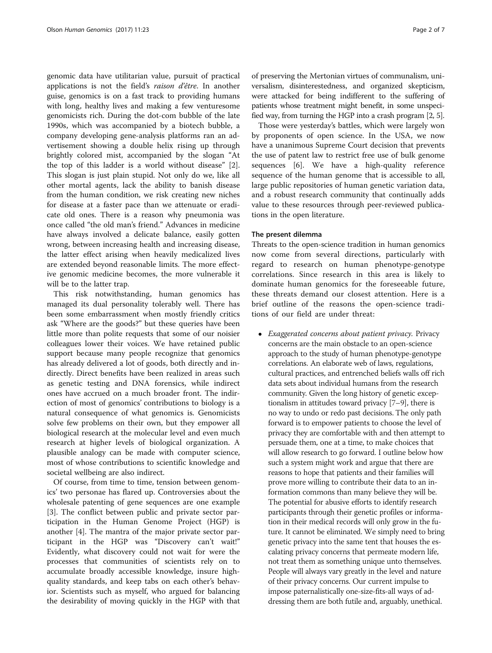genomic data have utilitarian value, pursuit of practical applications is not the field's raison d'être. In another guise, genomics is on a fast track to providing humans with long, healthy lives and making a few venturesome genomicists rich. During the dot-com bubble of the late 1990s, which was accompanied by a biotech bubble, a company developing gene-analysis platforms ran an advertisement showing a double helix rising up through brightly colored mist, accompanied by the slogan "At the top of this ladder is a world without disease" [\[2](#page-6-0)]. This slogan is just plain stupid. Not only do we, like all other mortal agents, lack the ability to banish disease from the human condition, we risk creating new niches for disease at a faster pace than we attenuate or eradicate old ones. There is a reason why pneumonia was once called "the old man's friend." Advances in medicine have always involved a delicate balance, easily gotten wrong, between increasing health and increasing disease, the latter effect arising when heavily medicalized lives are extended beyond reasonable limits. The more effective genomic medicine becomes, the more vulnerable it will be to the latter trap.

This risk notwithstanding, human genomics has managed its dual personality tolerably well. There has been some embarrassment when mostly friendly critics ask "Where are the goods?" but these queries have been little more than polite requests that some of our noisier colleagues lower their voices. We have retained public support because many people recognize that genomics has already delivered a lot of goods, both directly and indirectly. Direct benefits have been realized in areas such as genetic testing and DNA forensics, while indirect ones have accrued on a much broader front. The indirection of most of genomics' contributions to biology is a natural consequence of what genomics is. Genomicists solve few problems on their own, but they empower all biological research at the molecular level and even much research at higher levels of biological organization. A plausible analogy can be made with computer science, most of whose contributions to scientific knowledge and societal wellbeing are also indirect.

Of course, from time to time, tension between genomics' two personae has flared up. Controversies about the wholesale patenting of gene sequences are one example [[3\]](#page-6-0). The conflict between public and private sector participation in the Human Genome Project (HGP) is another [[4\]](#page-6-0). The mantra of the major private sector participant in the HGP was "Discovery can't wait!" Evidently, what discovery could not wait for were the processes that communities of scientists rely on to accumulate broadly accessible knowledge, insure highquality standards, and keep tabs on each other's behavior. Scientists such as myself, who argued for balancing the desirability of moving quickly in the HGP with that

of preserving the Mertonian virtues of communalism, universalism, disinterestedness, and organized skepticism, were attacked for being indifferent to the suffering of patients whose treatment might benefit, in some unspecified way, from turning the HGP into a crash program [\[2, 5](#page-6-0)].

Those were yesterday's battles, which were largely won by proponents of open science. In the USA, we now have a unanimous Supreme Court decision that prevents the use of patent law to restrict free use of bulk genome sequences [\[6](#page-6-0)]. We have a high-quality reference sequence of the human genome that is accessible to all, large public repositories of human genetic variation data, and a robust research community that continually adds value to these resources through peer-reviewed publications in the open literature.

#### The present dilemma

Threats to the open-science tradition in human genomics now come from several directions, particularly with regard to research on human phenotype-genotype correlations. Since research in this area is likely to dominate human genomics for the foreseeable future, these threats demand our closest attention. Here is a brief outline of the reasons the open-science traditions of our field are under threat:

• Exaggerated concerns about patient privacy. Privacy concerns are the main obstacle to an open-science approach to the study of human phenotype-genotype correlations. An elaborate web of laws, regulations, cultural practices, and entrenched beliefs walls off rich data sets about individual humans from the research community. Given the long history of genetic exceptionalism in attitudes toward privacy [\[7](#page-6-0)–[9\]](#page-6-0), there is no way to undo or redo past decisions. The only path forward is to empower patients to choose the level of privacy they are comfortable with and then attempt to persuade them, one at a time, to make choices that will allow research to go forward. I outline below how such a system might work and argue that there are reasons to hope that patients and their families will prove more willing to contribute their data to an information commons than many believe they will be. The potential for abusive efforts to identify research participants through their genetic profiles or information in their medical records will only grow in the future. It cannot be eliminated. We simply need to bring genetic privacy into the same tent that houses the escalating privacy concerns that permeate modern life, not treat them as something unique unto themselves. People will always vary greatly in the level and nature of their privacy concerns. Our current impulse to impose paternalistically one-size-fits-all ways of addressing them are both futile and, arguably, unethical.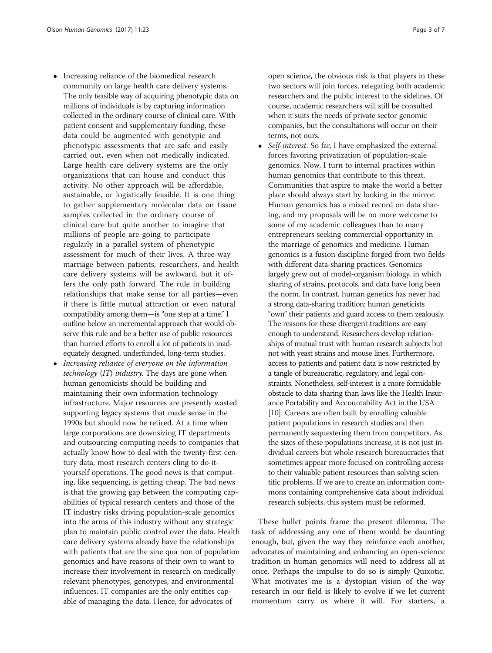- Increasing reliance of the biomedical research community on large health care delivery systems. The only feasible way of acquiring phenotypic data on millions of individuals is by capturing information collected in the ordinary course of clinical care. With patient consent and supplementary funding, these data could be augmented with genotypic and phenotypic assessments that are safe and easily carried out, even when not medically indicated. Large health care delivery systems are the only organizations that can house and conduct this activity. No other approach will be affordable, sustainable, or logistically feasible. It is one thing to gather supplementary molecular data on tissue samples collected in the ordinary course of clinical care but quite another to imagine that millions of people are going to participate regularly in a parallel system of phenotypic assessment for much of their lives. A three-way marriage between patients, researchers, and health care delivery systems will be awkward, but it offers the only path forward. The rule in building relationships that make sense for all parties—even if there is little mutual attraction or even natural compatibility among them—is "one step at a time." I outline below an incremental approach that would observe this rule and be a better use of public resources than hurried efforts to enroll a lot of patients in inadequately designed, underfunded, long-term studies.
- Increasing reliance of everyone on the information technology (IT) industry. The days are gone when human genomicists should be building and maintaining their own information technology infrastructure. Major resources are presently wasted supporting legacy systems that made sense in the 1990s but should now be retired. At a time when large corporations are downsizing IT departments and outsourcing computing needs to companies that actually know how to deal with the twenty-first century data, most research centers cling to do-ityourself operations. The good news is that computing, like sequencing, is getting cheap. The bad news is that the growing gap between the computing capabilities of typical research centers and those of the IT industry risks driving population-scale genomics into the arms of this industry without any strategic plan to maintain public control over the data. Health care delivery systems already have the relationships with patients that are the sine qua non of population genomics and have reasons of their own to want to increase their involvement in research on medically relevant phenotypes, genotypes, and environmental influences. IT companies are the only entities capable of managing the data. Hence, for advocates of

open science, the obvious risk is that players in these two sectors will join forces, relegating both academic researchers and the public interest to the sidelines. Of course, academic researchers will still be consulted when it suits the needs of private sector genomic companies, but the consultations will occur on their terms, not ours.

• Self-interest. So far, I have emphasized the external forces favoring privatization of population-scale genomics. Now, I turn to internal practices within human genomics that contribute to this threat. Communities that aspire to make the world a better place should always start by looking in the mirror. Human genomics has a mixed record on data sharing, and my proposals will be no more welcome to some of my academic colleagues than to many entrepreneurs seeking commercial opportunity in the marriage of genomics and medicine. Human genomics is a fusion discipline forged from two fields with different data-sharing practices. Genomics largely grew out of model-organism biology, in which sharing of strains, protocols, and data have long been the norm. In contrast, human genetics has never had a strong data-sharing tradition: human geneticists "own" their patients and guard access to them zealously. The reasons for these divergent traditions are easy enough to understand. Researchers develop relationships of mutual trust with human research subjects but not with yeast strains and mouse lines. Furthermore, access to patients and patient data is now restricted by a tangle of bureaucratic, regulatory, and legal constraints. Nonetheless, self-interest is a more formidable obstacle to data sharing than laws like the Health Insurance Portability and Accountability Act in the USA [[10](#page-6-0)]. Careers are often built by enrolling valuable patient populations in research studies and then permanently sequestering them from competitors. As the sizes of these populations increase, it is not just individual careers but whole research bureaucracies that sometimes appear more focused on controlling access to their valuable patient resources than solving scientific problems. If we are to create an information commons containing comprehensive data about individual research subjects, this system must be reformed.

These bullet points frame the present dilemma. The task of addressing any one of them would be daunting enough, but, given the way they reinforce each another, advocates of maintaining and enhancing an open-science tradition in human genomics will need to address all at once. Perhaps the impulse to do so is simply Quixotic. What motivates me is a dystopian vision of the way research in our field is likely to evolve if we let current momentum carry us where it will. For starters, a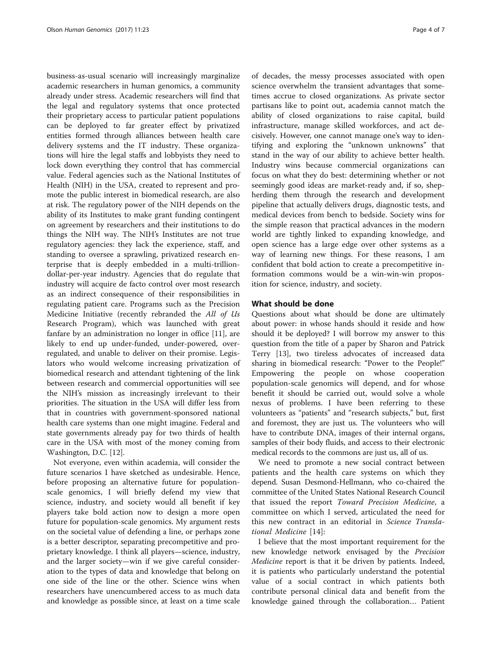business-as-usual scenario will increasingly marginalize academic researchers in human genomics, a community already under stress. Academic researchers will find that the legal and regulatory systems that once protected their proprietary access to particular patient populations can be deployed to far greater effect by privatized entities formed through alliances between health care delivery systems and the IT industry. These organizations will hire the legal staffs and lobbyists they need to lock down everything they control that has commercial value. Federal agencies such as the National Institutes of Health (NIH) in the USA, created to represent and promote the public interest in biomedical research, are also at risk. The regulatory power of the NIH depends on the ability of its Institutes to make grant funding contingent on agreement by researchers and their institutions to do things the NIH way. The NIH's Institutes are not true regulatory agencies: they lack the experience, staff, and standing to oversee a sprawling, privatized research enterprise that is deeply embedded in a multi-trilliondollar-per-year industry. Agencies that do regulate that industry will acquire de facto control over most research as an indirect consequence of their responsibilities in regulating patient care. Programs such as the Precision Medicine Initiative (recently rebranded the All of Us Research Program), which was launched with great fanfare by an administration no longer in office [[11](#page-6-0)], are likely to end up under-funded, under-powered, overregulated, and unable to deliver on their promise. Legislators who would welcome increasing privatization of biomedical research and attendant tightening of the link between research and commercial opportunities will see the NIH's mission as increasingly irrelevant to their priorities. The situation in the USA will differ less from that in countries with government-sponsored national health care systems than one might imagine. Federal and state governments already pay for two thirds of health care in the USA with most of the money coming from Washington, D.C. [[12\]](#page-6-0).

Not everyone, even within academia, will consider the future scenarios I have sketched as undesirable. Hence, before proposing an alternative future for populationscale genomics, I will briefly defend my view that science, industry, and society would all benefit if key players take bold action now to design a more open future for population-scale genomics. My argument rests on the societal value of defending a line, or perhaps zone is a better descriptor, separating precompetitive and proprietary knowledge. I think all players—science, industry, and the larger society—win if we give careful consideration to the types of data and knowledge that belong on one side of the line or the other. Science wins when researchers have unencumbered access to as much data and knowledge as possible since, at least on a time scale of decades, the messy processes associated with open science overwhelm the transient advantages that sometimes accrue to closed organizations. As private sector partisans like to point out, academia cannot match the ability of closed organizations to raise capital, build infrastructure, manage skilled workforces, and act decisively. However, one cannot manage one's way to identifying and exploring the "unknown unknowns" that stand in the way of our ability to achieve better health. Industry wins because commercial organizations can focus on what they do best: determining whether or not seemingly good ideas are market-ready and, if so, shepherding them through the research and development pipeline that actually delivers drugs, diagnostic tests, and medical devices from bench to bedside. Society wins for the simple reason that practical advances in the modern world are tightly linked to expanding knowledge, and open science has a large edge over other systems as a way of learning new things. For these reasons, I am confident that bold action to create a precompetitive information commons would be a win-win-win proposition for science, industry, and society.

#### What should be done

Questions about what should be done are ultimately about power: in whose hands should it reside and how should it be deployed? I will borrow my answer to this question from the title of a paper by Sharon and Patrick Terry [\[13](#page-6-0)], two tireless advocates of increased data sharing in biomedical research: "Power to the People!" Empowering the people on whose cooperation population-scale genomics will depend, and for whose benefit it should be carried out, would solve a whole nexus of problems. I have been referring to these volunteers as "patients" and "research subjects," but, first and foremost, they are just us. The volunteers who will have to contribute DNA, images of their internal organs, samples of their body fluids, and access to their electronic medical records to the commons are just us, all of us.

We need to promote a new social contract between patients and the health care systems on which they depend. Susan Desmond-Hellmann, who co-chaired the committee of the United States National Research Council that issued the report Toward Precision Medicine, a committee on which I served, articulated the need for this new contract in an editorial in Science Translational Medicine [\[14](#page-6-0)]:

I believe that the most important requirement for the new knowledge network envisaged by the Precision Medicine report is that it be driven by patients. Indeed, it is patients who particularly understand the potential value of a social contract in which patients both contribute personal clinical data and benefit from the knowledge gained through the collaboration… Patient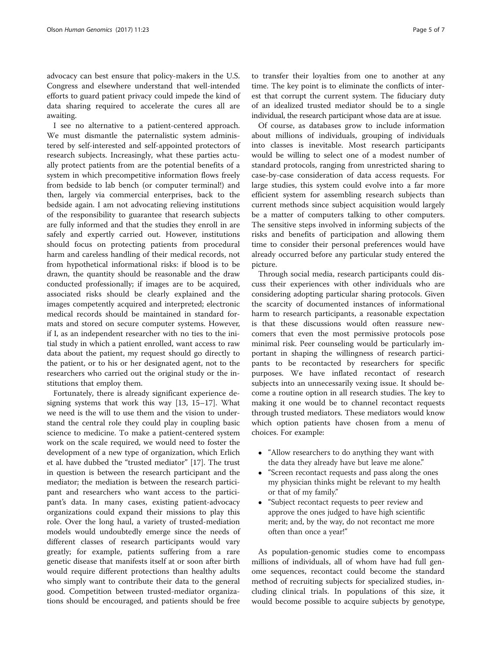advocacy can best ensure that policy-makers in the U.S. Congress and elsewhere understand that well-intended efforts to guard patient privacy could impede the kind of data sharing required to accelerate the cures all are awaiting.

I see no alternative to a patient-centered approach. We must dismantle the paternalistic system administered by self-interested and self-appointed protectors of research subjects. Increasingly, what these parties actually protect patients from are the potential benefits of a system in which precompetitive information flows freely from bedside to lab bench (or computer terminal!) and then, largely via commercial enterprises, back to the bedside again. I am not advocating relieving institutions of the responsibility to guarantee that research subjects are fully informed and that the studies they enroll in are safely and expertly carried out. However, institutions should focus on protecting patients from procedural harm and careless handling of their medical records, not from hypothetical informational risks: if blood is to be drawn, the quantity should be reasonable and the draw conducted professionally; if images are to be acquired, associated risks should be clearly explained and the images competently acquired and interpreted; electronic medical records should be maintained in standard formats and stored on secure computer systems. However, if I, as an independent researcher with no ties to the initial study in which a patient enrolled, want access to raw data about the patient, my request should go directly to the patient, or to his or her designated agent, not to the researchers who carried out the original study or the institutions that employ them.

Fortunately, there is already significant experience designing systems that work this way [[13](#page-6-0), [15](#page-6-0)–[17\]](#page-6-0). What we need is the will to use them and the vision to understand the central role they could play in coupling basic science to medicine. To make a patient-centered system work on the scale required, we would need to foster the development of a new type of organization, which Erlich et al. have dubbed the "trusted mediator" [[17](#page-6-0)]. The trust in question is between the research participant and the mediator; the mediation is between the research participant and researchers who want access to the participant's data. In many cases, existing patient-advocacy organizations could expand their missions to play this role. Over the long haul, a variety of trusted-mediation models would undoubtedly emerge since the needs of different classes of research participants would vary greatly; for example, patients suffering from a rare genetic disease that manifests itself at or soon after birth would require different protections than healthy adults who simply want to contribute their data to the general good. Competition between trusted-mediator organizations should be encouraged, and patients should be free

to transfer their loyalties from one to another at any time. The key point is to eliminate the conflicts of interest that corrupt the current system. The fiduciary duty of an idealized trusted mediator should be to a single individual, the research participant whose data are at issue.

Of course, as databases grow to include information about millions of individuals, grouping of individuals into classes is inevitable. Most research participants would be willing to select one of a modest number of standard protocols, ranging from unrestricted sharing to case-by-case consideration of data access requests. For large studies, this system could evolve into a far more efficient system for assembling research subjects than current methods since subject acquisition would largely be a matter of computers talking to other computers. The sensitive steps involved in informing subjects of the risks and benefits of participation and allowing them time to consider their personal preferences would have already occurred before any particular study entered the picture.

Through social media, research participants could discuss their experiences with other individuals who are considering adopting particular sharing protocols. Given the scarcity of documented instances of informational harm to research participants, a reasonable expectation is that these discussions would often reassure newcomers that even the most permissive protocols pose minimal risk. Peer counseling would be particularly important in shaping the willingness of research participants to be recontacted by researchers for specific purposes. We have inflated recontact of research subjects into an unnecessarily vexing issue. It should become a routine option in all research studies. The key to making it one would be to channel recontact requests through trusted mediators. These mediators would know which option patients have chosen from a menu of choices. For example:

- "Allow researchers to do anything they want with the data they already have but leave me alone."
- "Screen recontact requests and pass along the ones my physician thinks might be relevant to my health or that of my family."
- "Subject recontact requests to peer review and approve the ones judged to have high scientific merit; and, by the way, do not recontact me more often than once a year!"

As population-genomic studies come to encompass millions of individuals, all of whom have had full genome sequences, recontact could become the standard method of recruiting subjects for specialized studies, including clinical trials. In populations of this size, it would become possible to acquire subjects by genotype,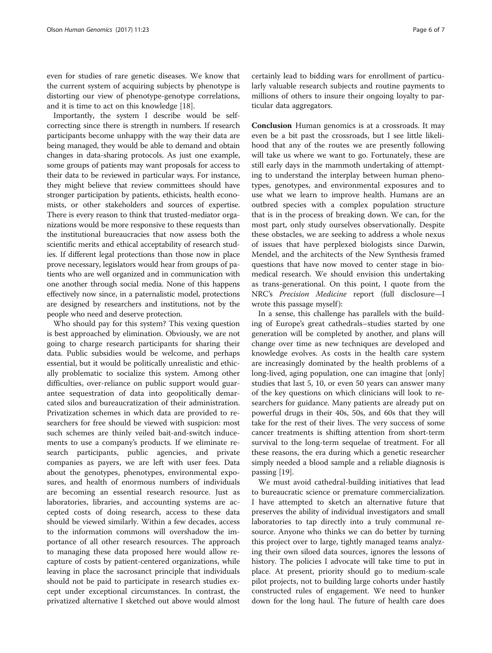even for studies of rare genetic diseases. We know that the current system of acquiring subjects by phenotype is distorting our view of phenotype-genotype correlations, and it is time to act on this knowledge [[18\]](#page-6-0).

Importantly, the system I describe would be selfcorrecting since there is strength in numbers. If research participants become unhappy with the way their data are being managed, they would be able to demand and obtain changes in data-sharing protocols. As just one example, some groups of patients may want proposals for access to their data to be reviewed in particular ways. For instance, they might believe that review committees should have stronger participation by patients, ethicists, health economists, or other stakeholders and sources of expertise. There is every reason to think that trusted-mediator organizations would be more responsive to these requests than the institutional bureaucracies that now assess both the scientific merits and ethical acceptability of research studies. If different legal protections than those now in place prove necessary, legislators would hear from groups of patients who are well organized and in communication with one another through social media. None of this happens effectively now since, in a paternalistic model, protections are designed by researchers and institutions, not by the people who need and deserve protection.

Who should pay for this system? This vexing question is best approached by elimination. Obviously, we are not going to charge research participants for sharing their data. Public subsidies would be welcome, and perhaps essential, but it would be politically unrealistic and ethically problematic to socialize this system. Among other difficulties, over-reliance on public support would guarantee sequestration of data into geopolitically demarcated silos and bureaucratization of their administration. Privatization schemes in which data are provided to researchers for free should be viewed with suspicion: most such schemes are thinly veiled bait-and-switch inducements to use a company's products. If we eliminate research participants, public agencies, and private companies as payers, we are left with user fees. Data about the genotypes, phenotypes, environmental exposures, and health of enormous numbers of individuals are becoming an essential research resource. Just as laboratories, libraries, and accounting systems are accepted costs of doing research, access to these data should be viewed similarly. Within a few decades, access to the information commons will overshadow the importance of all other research resources. The approach to managing these data proposed here would allow recapture of costs by patient-centered organizations, while leaving in place the sacrosanct principle that individuals should not be paid to participate in research studies except under exceptional circumstances. In contrast, the privatized alternative I sketched out above would almost certainly lead to bidding wars for enrollment of particularly valuable research subjects and routine payments to millions of others to insure their ongoing loyalty to particular data aggregators.

Conclusion Human genomics is at a crossroads. It may even be a bit past the crossroads, but I see little likelihood that any of the routes we are presently following will take us where we want to go. Fortunately, these are still early days in the mammoth undertaking of attempting to understand the interplay between human phenotypes, genotypes, and environmental exposures and to use what we learn to improve health. Humans are an outbred species with a complex population structure that is in the process of breaking down. We can, for the most part, only study ourselves observationally. Despite these obstacles, we are seeking to address a whole nexus of issues that have perplexed biologists since Darwin, Mendel, and the architects of the New Synthesis framed questions that have now moved to center stage in biomedical research. We should envision this undertaking as trans-generational. On this point, I quote from the NRC's Precision Medicine report (full disclosure—I wrote this passage myself):

In a sense, this challenge has parallels with the building of Europe's great cathedrals–studies started by one generation will be completed by another, and plans will change over time as new techniques are developed and knowledge evolves. As costs in the health care system are increasingly dominated by the health problems of a long-lived, aging population, one can imagine that [only] studies that last 5, 10, or even 50 years can answer many of the key questions on which clinicians will look to researchers for guidance. Many patients are already put on powerful drugs in their 40s, 50s, and 60s that they will take for the rest of their lives. The very success of some cancer treatments is shifting attention from short-term survival to the long-term sequelae of treatment. For all these reasons, the era during which a genetic researcher simply needed a blood sample and a reliable diagnosis is passing [[19\]](#page-6-0).

We must avoid cathedral-building initiatives that lead to bureaucratic science or premature commercialization. I have attempted to sketch an alternative future that preserves the ability of individual investigators and small laboratories to tap directly into a truly communal resource. Anyone who thinks we can do better by turning this project over to large, tightly managed teams analyzing their own siloed data sources, ignores the lessons of history. The policies I advocate will take time to put in place. At present, priority should go to medium-scale pilot projects, not to building large cohorts under hastily constructed rules of engagement. We need to hunker down for the long haul. The future of health care does